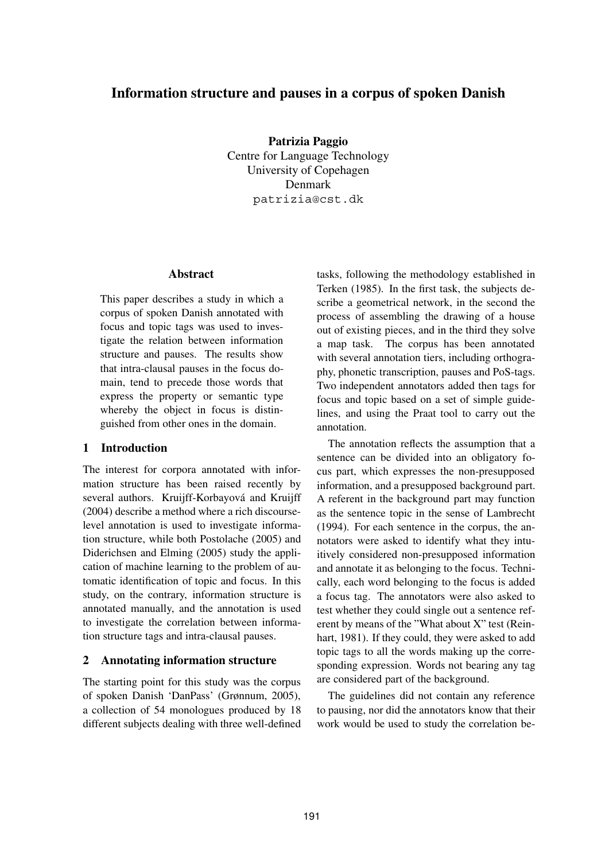# **Information structure and pauses in a corpus of spoken Danish**

**Patrizia Paggio** Centre for Language Technology University of Copehagen Denmark patrizia@cst.dk

#### **Abstract**

This paper describes a study in which a corpus of spoken Danish annotated with focus and topic tags was used to investigate the relation between information structure and pauses. The results show that intra-clausal pauses in the focus domain, tend to precede those words that express the property or semantic type whereby the object in focus is distinguished from other ones in the domain.

# **1 Introduction**

The interest for corpora annotated with information structure has been raised recently by several authors. Kruijff-Korbayová and Kruijff (2004) describe a method where a rich discourselevel annotation is used to investigate information structure, while both Postolache (2005) and Diderichsen and Elming (2005) study the application of machine learning to the problem of automatic identification of topic and focus. In this study, on the contrary, information structure is annotated manually, and the annotation is used to investigate the correlation between information structure tags and intra-clausal pauses.

### **2 Annotating information structure**

The starting point for this study was the corpus of spoken Danish 'DanPass' (Grønnum, 2005), a collection of 54 monologues produced by 18 different subjects dealing with three well-defined tasks, following the methodology established in Terken (1985). In the first task, the subjects describe a geometrical network, in the second the process of assembling the drawing of a house out of existing pieces, and in the third they solve a map task. The corpus has been annotated with several annotation tiers, including orthography, phonetic transcription, pauses and PoS-tags. Two independent annotators added then tags for focus and topic based on a set of simple guidelines, and using the Praat tool to carry out the annotation.

The annotation reflects the assumption that a sentence can be divided into an obligatory focus part, which expresses the non-presupposed information, and a presupposed background part. A referent in the background part may function as the sentence topic in the sense of Lambrecht (1994). For each sentence in the corpus, the annotators were asked to identify what they intuitively considered non-presupposed information and annotate it as belonging to the focus. Technically, each word belonging to the focus is added a focus tag. The annotators were also asked to test whether they could single out a sentence referent by means of the "What about X" test (Reinhart, 1981). If they could, they were asked to add topic tags to all the words making up the corresponding expression. Words not bearing any tag are considered part of the background.

The guidelines did not contain any reference to pausing, nor did the annotators know that their work would be used to study the correlation be-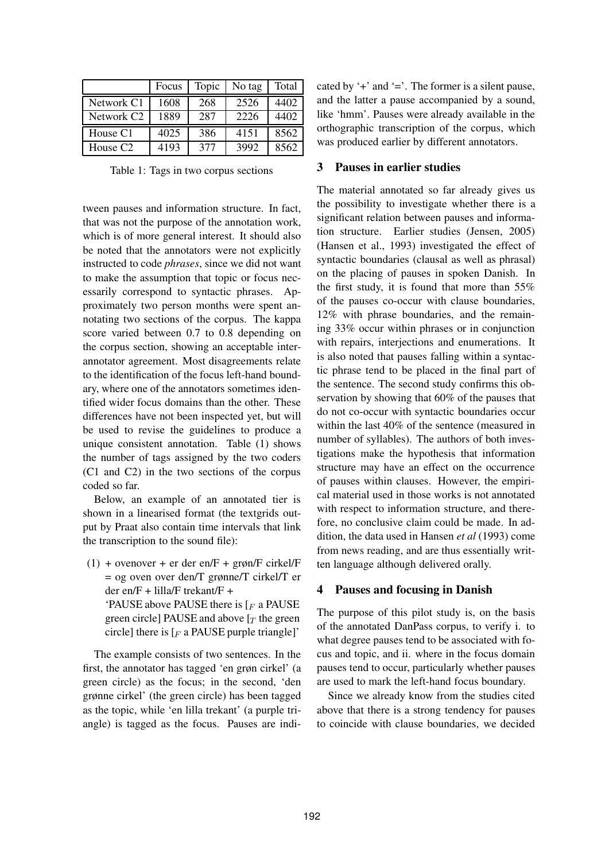|                        | Focus | Topic | No tag | Total |
|------------------------|-------|-------|--------|-------|
| Network C1             | 1608  | 268   | 2526   | 4402  |
| Network C <sub>2</sub> | 1889  | 287   | 2226   | 4402  |
| House C1               | 4025  | 386   | 4151   | 8562  |
| House C <sub>2</sub>   | 4193  | 377   | 3992   | 8562  |

Table 1: Tags in two corpus sections

tween pauses and information structure. In fact, that was not the purpose of the annotation work, which is of more general interest. It should also be noted that the annotators were not explicitly instructed to code *phrases*, since we did not want to make the assumption that topic or focus necessarily correspond to syntactic phrases. Approximately two person months were spent annotating two sections of the corpus. The kappa score varied between 0.7 to 0.8 depending on the corpus section, showing an acceptable interannotator agreement. Most disagreements relate to the identification of the focus left-hand boundary, where one of the annotators sometimes identified wider focus domains than the other. These differences have not been inspected yet, but will be used to revise the guidelines to produce a unique consistent annotation. Table (1) shows the number of tags assigned by the two coders (C1 and C2) in the two sections of the corpus coded so far.

Below, an example of an annotated tier is shown in a linearised format (the textgrids output by Praat also contain time intervals that link the transcription to the sound file):

 $(1)$  + ovenover + er der en/F + grøn/F cirkel/F = og oven over den/T grønne/T cirkel/T er der en/F + lilla/F trekant/F + 'PAUSE above PAUSE there is  $F_F$  a PAUSE green circle] PAUSE and above  $[T]$  the green circle] there is  $F$  a PAUSE purple triangle]'

The example consists of two sentences. In the first, the annotator has tagged 'en grøn cirkel' (a green circle) as the focus; in the second, 'den grønne cirkel' (the green circle) has been tagged as the topic, while 'en lilla trekant' (a purple triangle) is tagged as the focus. Pauses are indicated by  $\div$  and  $\div$ . The former is a silent pause, and the latter a pause accompanied by a sound, like 'hmm'. Pauses were already available in the orthographic transcription of the corpus, which was produced earlier by different annotators.

# **3 Pauses in earlier studies**

The material annotated so far already gives us the possibility to investigate whether there is a significant relation between pauses and information structure. Earlier studies (Jensen, 2005) (Hansen et al., 1993) investigated the effect of syntactic boundaries (clausal as well as phrasal) on the placing of pauses in spoken Danish. In the first study, it is found that more than 55% of the pauses co-occur with clause boundaries, 12% with phrase boundaries, and the remaining 33% occur within phrases or in conjunction with repairs, interjections and enumerations. It is also noted that pauses falling within a syntactic phrase tend to be placed in the final part of the sentence. The second study confirms this observation by showing that 60% of the pauses that do not co-occur with syntactic boundaries occur within the last 40% of the sentence (measured in number of syllables). The authors of both investigations make the hypothesis that information structure may have an effect on the occurrence of pauses within clauses. However, the empirical material used in those works is not annotated with respect to information structure, and therefore, no conclusive claim could be made. In addition, the data used in Hansen *et al* (1993) come from news reading, and are thus essentially written language although delivered orally.

### **4 Pauses and focusing in Danish**

The purpose of this pilot study is, on the basis of the annotated DanPass corpus, to verify i. to what degree pauses tend to be associated with focus and topic, and ii. where in the focus domain pauses tend to occur, particularly whether pauses are used to mark the left-hand focus boundary.

Since we already know from the studies cited above that there is a strong tendency for pauses to coincide with clause boundaries, we decided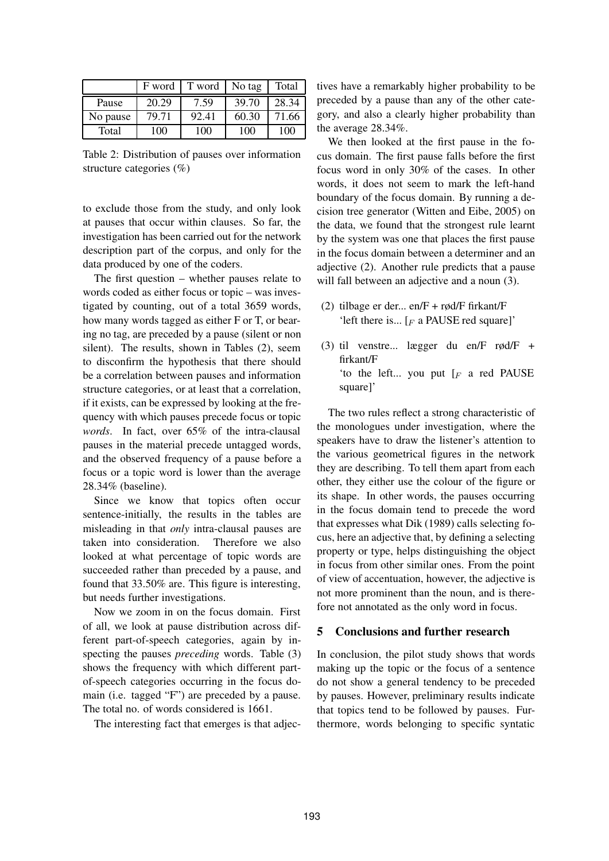|          | F word | T word | No tag | Total |
|----------|--------|--------|--------|-------|
| Pause    | 20.29  | 7.59   | 39.70  | 28.34 |
| No pause | 79.71  | 92.41  | 60.30  | 71.66 |
| Total    | 100    | 100    | 100    | 100   |

Table 2: Distribution of pauses over information structure categories (%)

to exclude those from the study, and only look at pauses that occur within clauses. So far, the investigation has been carried out for the network description part of the corpus, and only for the data produced by one of the coders.

The first question – whether pauses relate to words coded as either focus or topic – was investigated by counting, out of a total 3659 words, how many words tagged as either F or T, or bearing no tag, are preceded by a pause (silent or non silent). The results, shown in Tables (2), seem to disconfirm the hypothesis that there should be a correlation between pauses and information structure categories, or at least that a correlation, if it exists, can be expressed by looking at the frequency with which pauses precede focus or topic *words*. In fact, over 65% of the intra-clausal pauses in the material precede untagged words, and the observed frequency of a pause before a focus or a topic word is lower than the average 28.34% (baseline).

Since we know that topics often occur sentence-initially, the results in the tables are misleading in that *only* intra-clausal pauses are taken into consideration. Therefore we also looked at what percentage of topic words are succeeded rather than preceded by a pause, and found that 33.50% are. This figure is interesting, but needs further investigations.

Now we zoom in on the focus domain. First of all, we look at pause distribution across different part-of-speech categories, again by inspecting the pauses *preceding* words. Table (3) shows the frequency with which different partof-speech categories occurring in the focus domain (i.e. tagged "F") are preceded by a pause. The total no. of words considered is 1661.

The interesting fact that emerges is that adjec-

tives have a remarkably higher probability to be preceded by a pause than any of the other category, and also a clearly higher probability than the average 28.34%.

We then looked at the first pause in the focus domain. The first pause falls before the first focus word in only 30% of the cases. In other words, it does not seem to mark the left-hand boundary of the focus domain. By running a decision tree generator (Witten and Eibe, 2005) on the data, we found that the strongest rule learnt by the system was one that places the first pause in the focus domain between a determiner and an adjective (2). Another rule predicts that a pause will fall between an adjective and a noun  $(3)$ .

- (2) tilbage er der... en/F + rød/F firkant/F 'left there is...  $\lceil F \rceil$  a PAUSE red square]'
- (3) til venstre... lægger du en/F rød/F + firkant/F 'to the left... you put  $\left[F\right]$  a red PAUSE square]'

The two rules reflect a strong characteristic of the monologues under investigation, where the speakers have to draw the listener's attention to the various geometrical figures in the network they are describing. To tell them apart from each other, they either use the colour of the figure or its shape. In other words, the pauses occurring in the focus domain tend to precede the word that expresses what Dik (1989) calls selecting focus, here an adjective that, by defining a selecting property or type, helps distinguishing the object in focus from other similar ones. From the point of view of accentuation, however, the adjective is not more prominent than the noun, and is therefore not annotated as the only word in focus.

### **5 Conclusions and further research**

In conclusion, the pilot study shows that words making up the topic or the focus of a sentence do not show a general tendency to be preceded by pauses. However, preliminary results indicate that topics tend to be followed by pauses. Furthermore, words belonging to specific syntatic